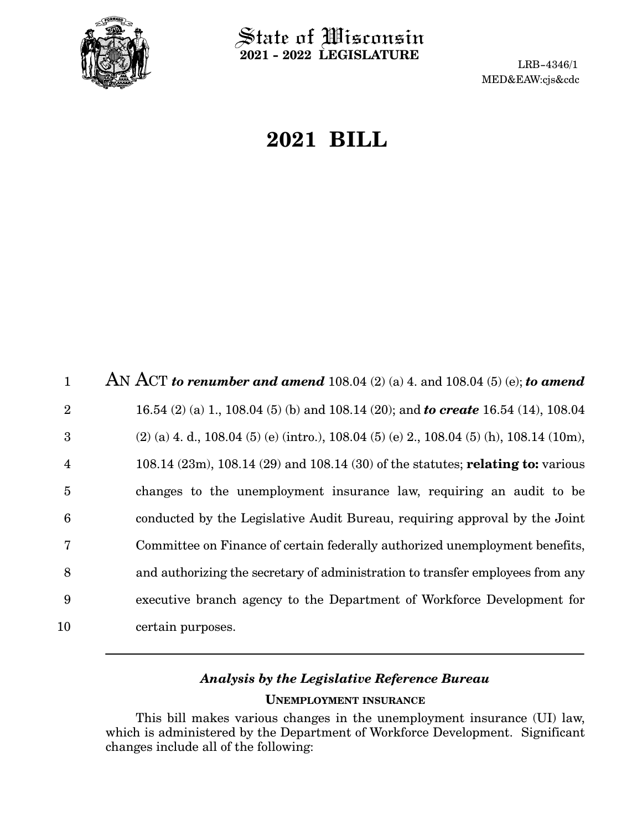

 $\hat{\mathbb{S}}$ tate of Wisconsin **2021 - 2022 LEGISLATURE**

LRB-4346/1 MED&EAW:cjs&cdc

# **2021 BILL**

AN ACT *to renumber and amend* 108.04 (2) (a) 4. and 108.04 (5) (e); *to amend* 16.54 (2) (a) 1., 108.04 (5) (b) and 108.14 (20); and *to create* 16.54 (14), 108.04 (2) (a) 4. d., 108.04 (5) (e) (intro.), 108.04 (5) (e) 2., 108.04 (5) (h), 108.14 (10m), 108.14 (23m), 108.14 (29) and 108.14 (30) of the statutes; **relating to:** various changes to the unemployment insurance law, requiring an audit to be conducted by the Legislative Audit Bureau, requiring approval by the Joint Committee on Finance of certain federally authorized unemployment benefits, and authorizing the secretary of administration to transfer employees from any executive branch agency to the Department of Workforce Development for certain purposes. 1 2 3 4 5 6 7 8 9 10

# *Analysis by the Legislative Reference Bureau* **UNEMPLOYMENT INSURANCE**

This bill makes various changes in the unemployment insurance (UI) law, which is administered by the Department of Workforce Development. Significant changes include all of the following: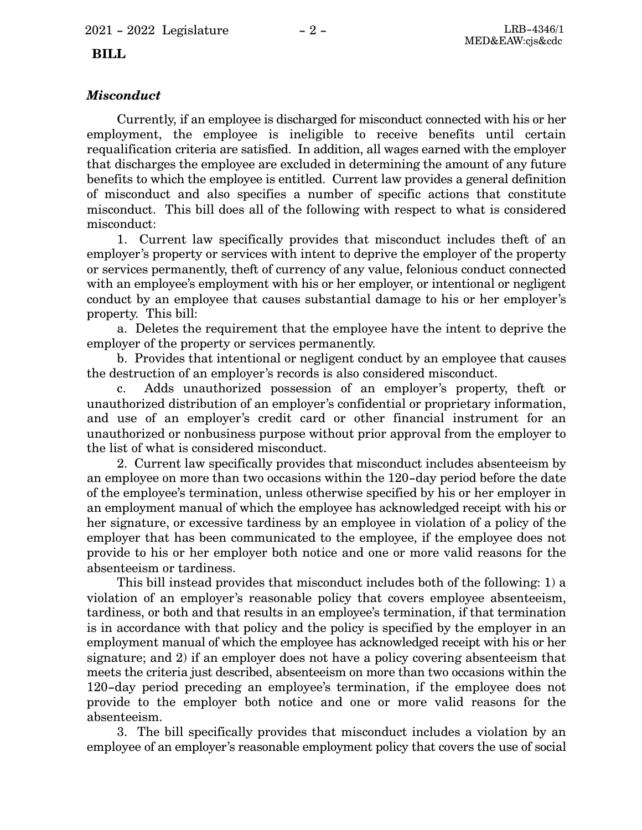# *Misconduct*

Currently, if an employee is discharged for misconduct connected with his or her employment, the employee is ineligible to receive benefits until certain requalification criteria are satisfied. In addition, all wages earned with the employer that discharges the employee are excluded in determining the amount of any future benefits to which the employee is entitled. Current law provides a general definition of misconduct and also specifies a number of specific actions that constitute misconduct. This bill does all of the following with respect to what is considered misconduct:

1. Current law specifically provides that misconduct includes theft of an employer's property or services with intent to deprive the employer of the property or services permanently, theft of currency of any value, felonious conduct connected with an employee's employment with his or her employer, or intentional or negligent conduct by an employee that causes substantial damage to his or her employer's property. This bill:

a. Deletes the requirement that the employee have the intent to deprive the employer of the property or services permanently.

b. Provides that intentional or negligent conduct by an employee that causes the destruction of an employer's records is also considered misconduct.

c. Adds unauthorized possession of an employer's property, theft or unauthorized distribution of an employer's confidential or proprietary information, and use of an employer's credit card or other financial instrument for an unauthorized or nonbusiness purpose without prior approval from the employer to the list of what is considered misconduct.

2. Current law specifically provides that misconduct includes absenteeism by an employee on more than two occasions within the 120-day period before the date of the employee's termination, unless otherwise specified by his or her employer in an employment manual of which the employee has acknowledged receipt with his or her signature, or excessive tardiness by an employee in violation of a policy of the employer that has been communicated to the employee, if the employee does not provide to his or her employer both notice and one or more valid reasons for the absenteeism or tardiness.

This bill instead provides that misconduct includes both of the following: 1) a violation of an employer's reasonable policy that covers employee absenteeism, tardiness, or both and that results in an employee's termination, if that termination is in accordance with that policy and the policy is specified by the employer in an employment manual of which the employee has acknowledged receipt with his or her signature; and 2) if an employer does not have a policy covering absenteeism that meets the criteria just described, absenteeism on more than two occasions within the 120-day period preceding an employee's termination, if the employee does not provide to the employer both notice and one or more valid reasons for the absenteeism.

3. The bill specifically provides that misconduct includes a violation by an employee of an employer's reasonable employment policy that covers the use of social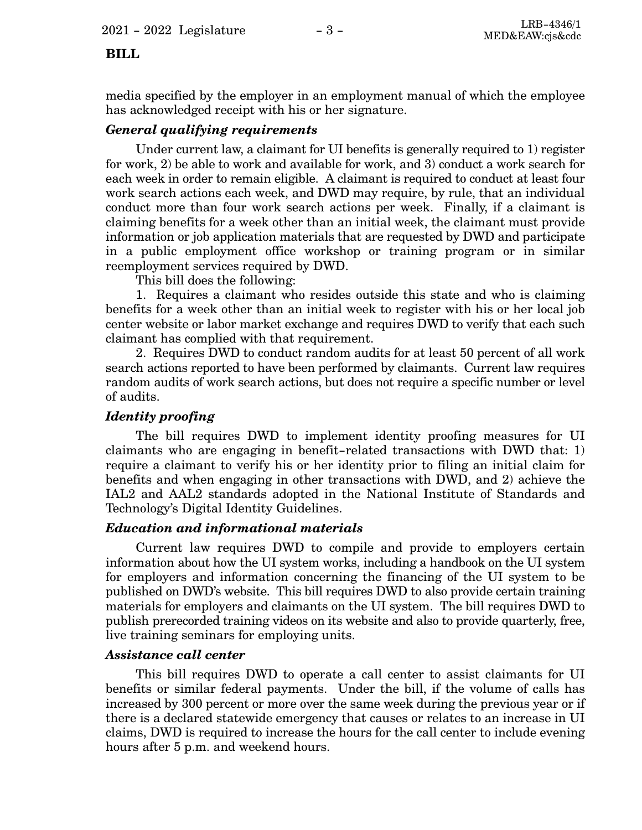media specified by the employer in an employment manual of which the employee has acknowledged receipt with his or her signature.

# *General qualifying requirements*

Under current law, a claimant for UI benefits is generally required to 1) register for work, 2) be able to work and available for work, and 3) conduct a work search for each week in order to remain eligible. A claimant is required to conduct at least four work search actions each week, and DWD may require, by rule, that an individual conduct more than four work search actions per week. Finally, if a claimant is claiming benefits for a week other than an initial week, the claimant must provide information or job application materials that are requested by DWD and participate in a public employment office workshop or training program or in similar reemployment services required by DWD.

This bill does the following:

1. Requires a claimant who resides outside this state and who is claiming benefits for a week other than an initial week to register with his or her local job center website or labor market exchange and requires DWD to verify that each such claimant has complied with that requirement.

2. Requires DWD to conduct random audits for at least 50 percent of all work search actions reported to have been performed by claimants. Current law requires random audits of work search actions, but does not require a specific number or level of audits.

### *Identity proofing*

The bill requires DWD to implement identity proofing measures for UI claimants who are engaging in benefit-related transactions with DWD that: 1) require a claimant to verify his or her identity prior to filing an initial claim for benefits and when engaging in other transactions with DWD, and 2) achieve the IAL2 and AAL2 standards adopted in the National Institute of Standards and Technology's Digital Identity Guidelines.

### *Education and informational materials*

Current law requires DWD to compile and provide to employers certain information about how the UI system works, including a handbook on the UI system for employers and information concerning the financing of the UI system to be published on DWD's website. This bill requires DWD to also provide certain training materials for employers and claimants on the UI system. The bill requires DWD to publish prerecorded training videos on its website and also to provide quarterly, free, live training seminars for employing units.

#### *Assistance call center*

This bill requires DWD to operate a call center to assist claimants for UI benefits or similar federal payments. Under the bill, if the volume of calls has increased by 300 percent or more over the same week during the previous year or if there is a declared statewide emergency that causes or relates to an increase in UI claims, DWD is required to increase the hours for the call center to include evening hours after 5 p.m. and weekend hours.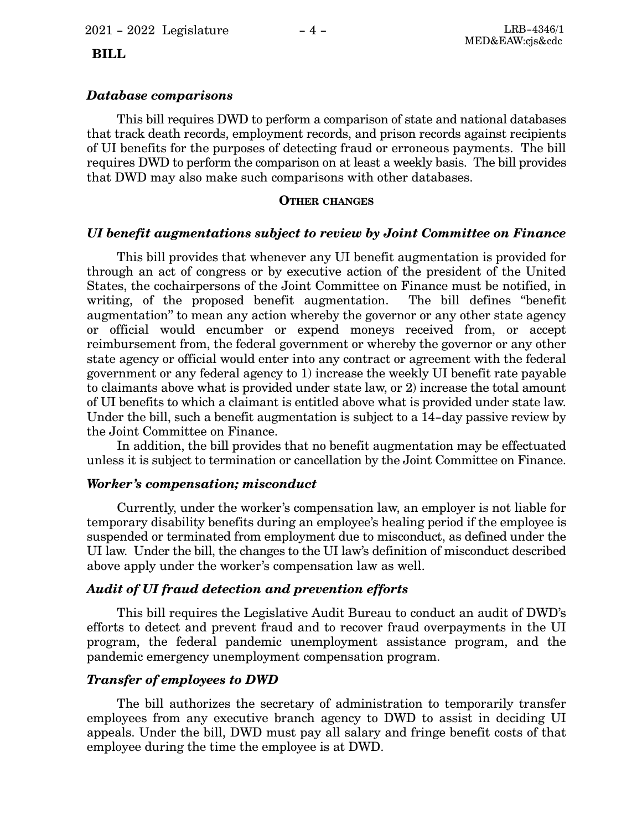### *Database comparisons*

This bill requires DWD to perform a comparison of state and national databases that track death records, employment records, and prison records against recipients of UI benefits for the purposes of detecting fraud or erroneous payments. The bill requires DWD to perform the comparison on at least a weekly basis. The bill provides that DWD may also make such comparisons with other databases.

#### **OTHER CHANGES**

## *UI benefit augmentations subject to review by Joint Committee on Finance*

This bill provides that whenever any UI benefit augmentation is provided for through an act of congress or by executive action of the president of the United States, the cochairpersons of the Joint Committee on Finance must be notified, in writing, of the proposed benefit augmentation. The bill defines "benefit augmentation" to mean any action whereby the governor or any other state agency or official would encumber or expend moneys received from, or accept reimbursement from, the federal government or whereby the governor or any other state agency or official would enter into any contract or agreement with the federal government or any federal agency to 1) increase the weekly UI benefit rate payable to claimants above what is provided under state law, or 2) increase the total amount of UI benefits to which a claimant is entitled above what is provided under state law. Under the bill, such a benefit augmentation is subject to a 14-day passive review by the Joint Committee on Finance.

In addition, the bill provides that no benefit augmentation may be effectuated unless it is subject to termination or cancellation by the Joint Committee on Finance.

### *Worker's compensation; misconduct*

Currently, under the worker's compensation law, an employer is not liable for temporary disability benefits during an employee's healing period if the employee is suspended or terminated from employment due to misconduct, as defined under the UI law. Under the bill, the changes to the UI law's definition of misconduct described above apply under the worker's compensation law as well.

### *Audit of UI fraud detection and prevention efforts*

This bill requires the Legislative Audit Bureau to conduct an audit of DWD's efforts to detect and prevent fraud and to recover fraud overpayments in the UI program, the federal pandemic unemployment assistance program, and the pandemic emergency unemployment compensation program.

### *Transfer of employees to DWD*

The bill authorizes the secretary of administration to temporarily transfer employees from any executive branch agency to DWD to assist in deciding UI appeals. Under the bill, DWD must pay all salary and fringe benefit costs of that employee during the time the employee is at DWD.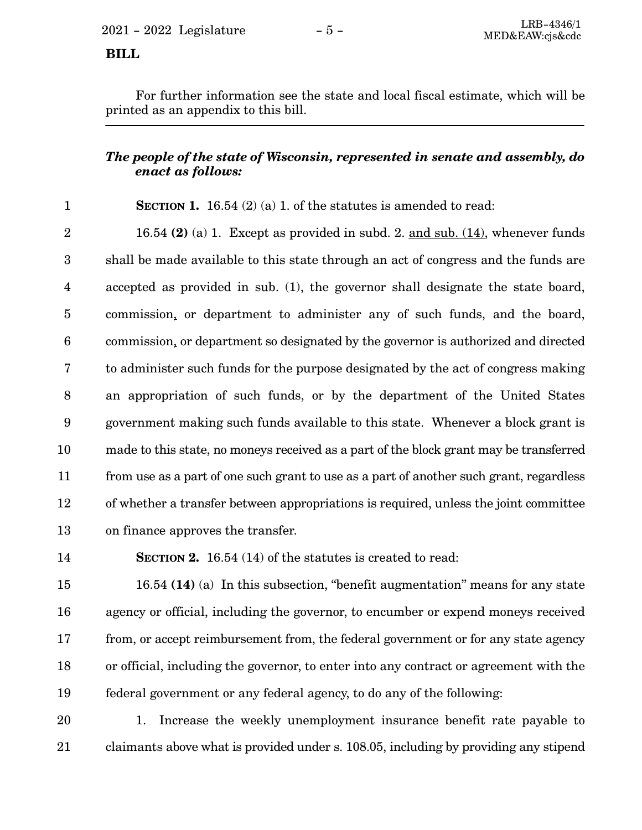For further information see the state and local fiscal estimate, which will be printed as an appendix to this bill.

# *The people of the state of Wisconsin, represented in senate and assembly, do enact as follows:*

**SECTION 1.** 16.54 (2) (a) 1. of the statutes is amended to read: 1

16.54 **(2)** (a) 1. Except as provided in subd. 2. and sub. (14), whenever funds shall be made available to this state through an act of congress and the funds are accepted as provided in sub. (1), the governor shall designate the state board, commission, or department to administer any of such funds, and the board, commission, or department so designated by the governor is authorized and directed to administer such funds for the purpose designated by the act of congress making an appropriation of such funds, or by the department of the United States government making such funds available to this state. Whenever a block grant is made to this state, no moneys received as a part of the block grant may be transferred from use as a part of one such grant to use as a part of another such grant, regardless of whether a transfer between appropriations is required, unless the joint committee on finance approves the transfer. 2 3 4 5 6 7 8 9 10 11 12 13

14

**SECTION 2.** 16.54 (14) of the statutes is created to read:

16.54 **(14)** (a) In this subsection, "benefit augmentation" means for any state agency or official, including the governor, to encumber or expend moneys received from, or accept reimbursement from, the federal government or for any state agency or official, including the governor, to enter into any contract or agreement with the federal government or any federal agency, to do any of the following: 15 16 17 18 19

1. Increase the weekly unemployment insurance benefit rate payable to claimants above what is provided under s. 108.05, including by providing any stipend 20 21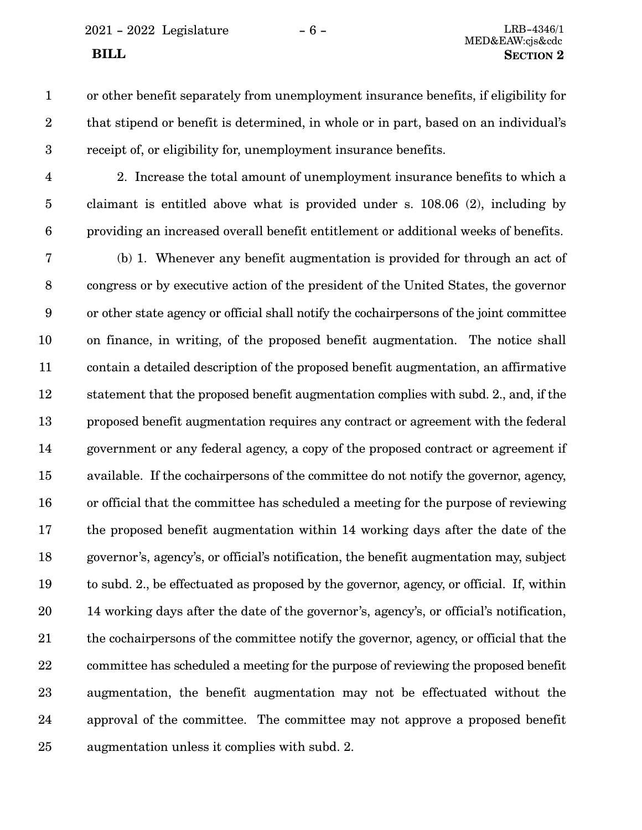- 
- or other benefit separately from unemployment insurance benefits, if eligibility for that stipend or benefit is determined, in whole or in part, based on an individual's receipt of, or eligibility for, unemployment insurance benefits. 1 2 3
- 4
- 5

6

2. Increase the total amount of unemployment insurance benefits to which a claimant is entitled above what is provided under s. 108.06 (2), including by providing an increased overall benefit entitlement or additional weeks of benefits.

(b) 1. Whenever any benefit augmentation is provided for through an act of congress or by executive action of the president of the United States, the governor or other state agency or official shall notify the cochairpersons of the joint committee on finance, in writing, of the proposed benefit augmentation. The notice shall contain a detailed description of the proposed benefit augmentation, an affirmative statement that the proposed benefit augmentation complies with subd. 2., and, if the proposed benefit augmentation requires any contract or agreement with the federal government or any federal agency, a copy of the proposed contract or agreement if available. If the cochairpersons of the committee do not notify the governor, agency, or official that the committee has scheduled a meeting for the purpose of reviewing the proposed benefit augmentation within 14 working days after the date of the governor's, agency's, or official's notification, the benefit augmentation may, subject to subd. 2., be effectuated as proposed by the governor, agency, or official. If, within 14 working days after the date of the governor's, agency's, or official's notification, the cochairpersons of the committee notify the governor, agency, or official that the committee has scheduled a meeting for the purpose of reviewing the proposed benefit augmentation, the benefit augmentation may not be effectuated without the approval of the committee. The committee may not approve a proposed benefit augmentation unless it complies with subd. 2. 7 8 9 10 11 12 13 14 15 16 17 18 19 20 21 22 23 24 25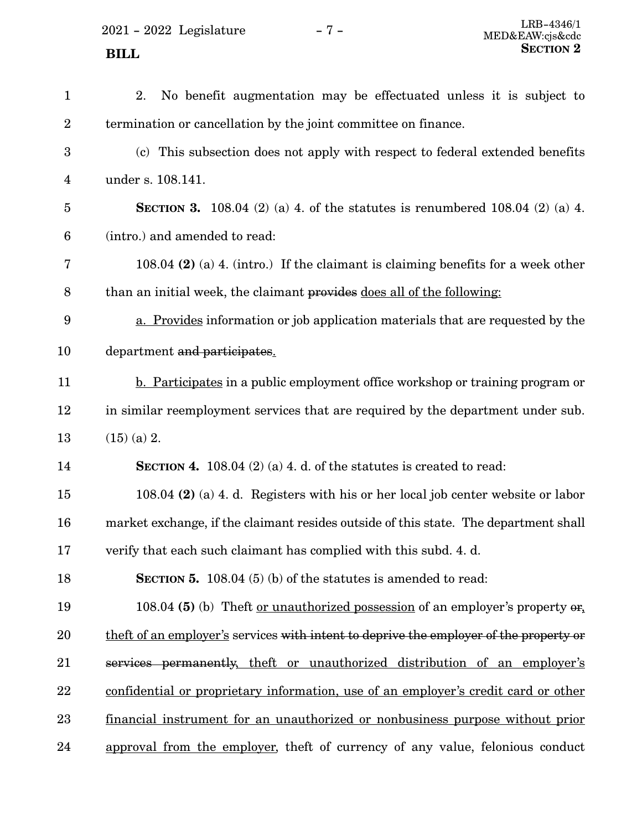2021 - 2022 Legislature -  $7$  -

| $\mathbf{1}$     | 2.<br>No benefit augmentation may be effectuated unless it is subject to               |
|------------------|----------------------------------------------------------------------------------------|
| $\overline{2}$   | termination or cancellation by the joint committee on finance.                         |
| $\boldsymbol{3}$ | (c) This subsection does not apply with respect to federal extended benefits           |
| $\overline{4}$   | under s. 108.141.                                                                      |
| 5                | <b>SECTION 3.</b> 108.04 (2) (a) 4. of the statutes is renumbered 108.04 (2) (a) 4.    |
| 6                | (intro.) and amended to read:                                                          |
| 7                | 108.04 $(2)$ (a) 4. (intro.) If the claimant is claiming benefits for a week other     |
| 8                | than an initial week, the claimant provides does all of the following:                 |
| 9                | a. Provides information or job application materials that are requested by the         |
| 10               | department and participates.                                                           |
| 11               | <b>b.</b> Participates in a public employment office workshop or training program or   |
| 12               | in similar reemployment services that are required by the department under sub.        |
| 13               | $(15)$ (a) 2.                                                                          |
| 14               | SECTION 4. 108.04 $(2)$ (a) 4. d. of the statutes is created to read:                  |
| 15               | 108.04 (2) (a) 4. d. Registers with his or her local job center website or labor       |
| 16               | market exchange, if the claimant resides outside of this state. The department shall   |
| 17               | verify that each such claimant has complied with this subd. 4. d.                      |
| 18               | <b>SECTION 5.</b> 108.04 (5) (b) of the statutes is amended to read:                   |
| 19               | 108.04 (5) (b) Theft <u>or unauthorized possession</u> of an employer's property or,   |
| 20               | theft of an employer's services with intent to deprive the employer of the property or |
| 21               | services permanently, theft or unauthorized distribution of an employer's              |
| 22               | confidential or proprietary information, use of an employer's credit card or other     |
| 23               | <u>financial instrument for an unauthorized or nonbusiness purpose without prior</u>   |
| 24               | approval from the employer, theft of currency of any value, felonious conduct          |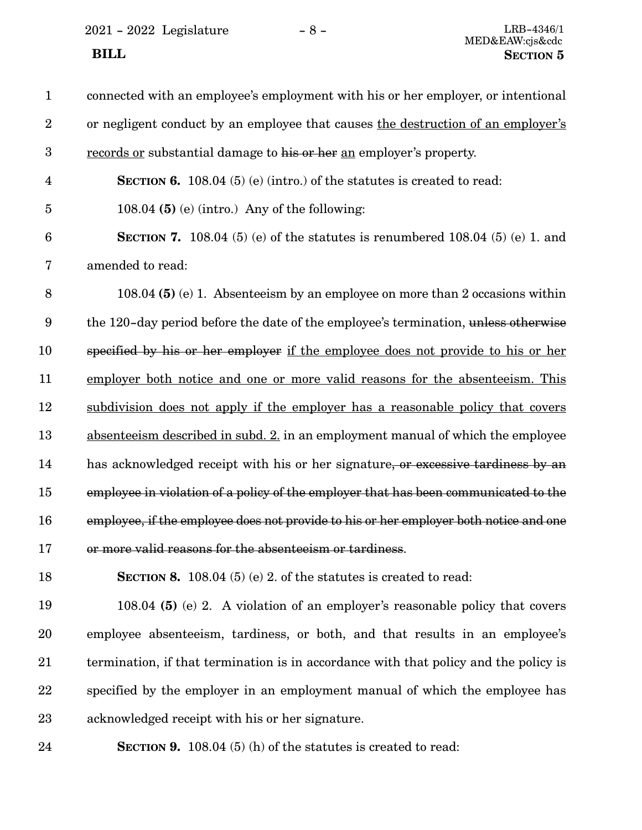2021 - 2022 Legislature -  $8$  -

| $\mathbf{1}$     | connected with an employee's employment with his or her employer, or intentional      |
|------------------|---------------------------------------------------------------------------------------|
| $\overline{2}$   | or negligent conduct by an employee that causes the destruction of an employer's      |
| $\boldsymbol{3}$ | records or substantial damage to his or her an employer's property.                   |
| $\overline{4}$   | <b>SECTION 6.</b> 108.04 (5) (e) (intro.) of the statutes is created to read:         |
| $\overline{5}$   | 108.04 $(5)$ (e) (intro.) Any of the following:                                       |
| $6\phantom{1}6$  | <b>SECTION 7.</b> 108.04 (5) (e) of the statutes is renumbered 108.04 (5) (e) 1. and  |
| $\bf 7$          | amended to read:                                                                      |
| 8                | 108.04 (5) (e) 1. Absenteeism by an employee on more than 2 occasions within          |
| 9                | the 120-day period before the date of the employee's termination, unless otherwise    |
| 10               | specified by his or her employer if the employee does not provide to his or her       |
| 11               | employer both notice and one or more valid reasons for the absenteeism. This          |
| 12               | subdivision does not apply if the employer has a reasonable policy that covers        |
| 13               | absenteeism described in subd. 2. in an employment manual of which the employee       |
| 14               | has acknowledged receipt with his or her signature, or excessive tardiness by an      |
| 15               | employee in violation of a policy of the employer that has been communicated to the   |
| 16               | employee, if the employee does not provide to his or her employer both notice and one |
| 17               | or more valid reasons for the absenteeism or tardiness.                               |
| 18               | SECTION 8. 108.04 $(5)$ (e) 2. of the statutes is created to read:                    |
| 19               | 108.04 (5) (e) 2. A violation of an employer's reasonable policy that covers          |
| 20               | employee absenteeism, tardiness, or both, and that results in an employee's           |
| 21               | termination, if that termination is in accordance with that policy and the policy is  |
| 22               | specified by the employer in an employment manual of which the employee has           |
| 23               | acknowledged receipt with his or her signature.                                       |
| 24               | <b>SECTION 9.</b> 108.04 $(5)$ (h) of the statutes is created to read:                |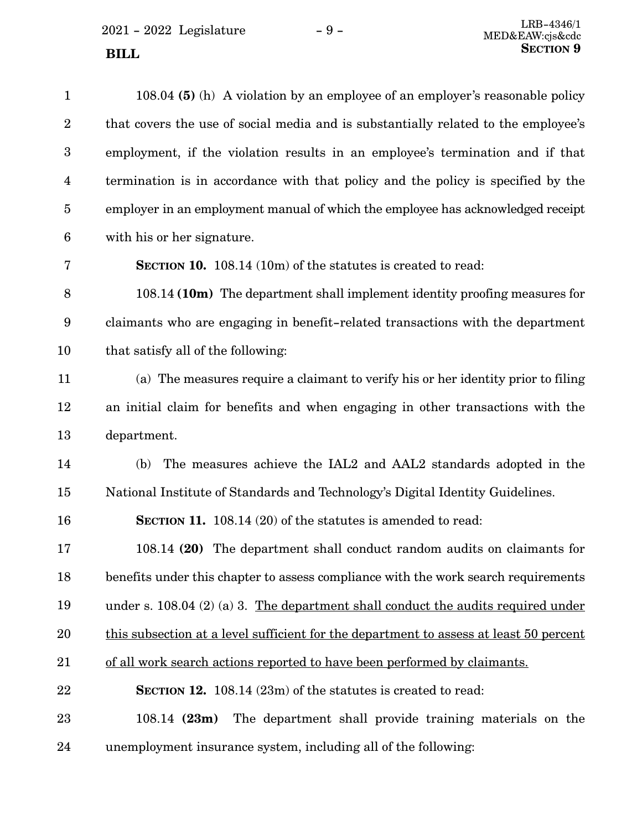$2021 - 2022$  Legislature  $-9$  -

| $\mathbf{1}$     | 108.04 (5) (h) A violation by an employee of an employer's reasonable policy           |
|------------------|----------------------------------------------------------------------------------------|
| $\overline{2}$   | that covers the use of social media and is substantially related to the employee's     |
| $\boldsymbol{3}$ | employment, if the violation results in an employee's termination and if that          |
| 4                | termination is in accordance with that policy and the policy is specified by the       |
| $\overline{5}$   | employer in an employment manual of which the employee has acknowledged receipt        |
| $6\phantom{1}6$  | with his or her signature.                                                             |
| 7                | <b>SECTION 10.</b> 108.14 (10m) of the statutes is created to read:                    |
| 8                | 108.14 (10m) The department shall implement identity proofing measures for             |
| $\boldsymbol{9}$ | claimants who are engaging in benefit-related transactions with the department         |
| 10               | that satisfy all of the following:                                                     |
| 11               | (a) The measures require a claimant to verify his or her identity prior to filing      |
| 12               | an initial claim for benefits and when engaging in other transactions with the         |
| 13               | department.                                                                            |
| 14               | The measures achieve the IAL2 and AAL2 standards adopted in the<br>(b)                 |
| 15               | National Institute of Standards and Technology's Digital Identity Guidelines.          |
| 16               | SECTION 11. 108.14 (20) of the statutes is amended to read:                            |
| 17               | 108.14 (20) The department shall conduct random audits on claimants for                |
| 18               | benefits under this chapter to assess compliance with the work search requirements     |
| 19               | under s. 108.04 $(2)$ (a) 3. The department shall conduct the audits required under    |
| 20               | this subsection at a level sufficient for the department to assess at least 50 percent |
| 21               | of all work search actions reported to have been performed by claimants.               |
| 22               | <b>SECTION 12.</b> 108.14 (23m) of the statutes is created to read:                    |
| 23               | The department shall provide training materials on the<br>$108.14$ (23m)               |
| 24               | unemployment insurance system, including all of the following:                         |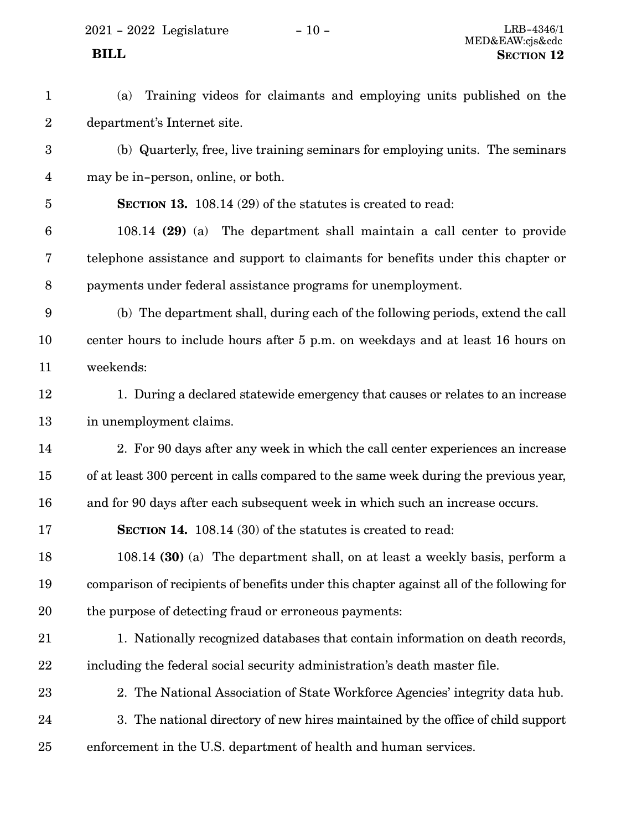2021 - 2022 Legislature - 10 - LRB-4346/1

- (a) Training videos for claimants and employing units published on the department's Internet site. 1 2
- (b) Quarterly, free, live training seminars for employing units. The seminars may be in-person, online, or both. 3 4
- **SECTION 13.** 108.14 (29) of the statutes is created to read: 5
- 108.14 **(29)** (a) The department shall maintain a call center to provide telephone assistance and support to claimants for benefits under this chapter or payments under federal assistance programs for unemployment. 6 7 8
- (b) The department shall, during each of the following periods, extend the call center hours to include hours after 5 p.m. on weekdays and at least 16 hours on weekends: 9 10 11
- 1. During a declared statewide emergency that causes or relates to an increase in unemployment claims. 12 13
- 2. For 90 days after any week in which the call center experiences an increase of at least 300 percent in calls compared to the same week during the previous year, and for 90 days after each subsequent week in which such an increase occurs. 14 15 16
- **SECTION 14.** 108.14 (30) of the statutes is created to read: 17
- 108.14 **(30)** (a) The department shall, on at least a weekly basis, perform a comparison of recipients of benefits under this chapter against all of the following for the purpose of detecting fraud or erroneous payments: 18 19 20
- 1. Nationally recognized databases that contain information on death records, including the federal social security administration's death master file. 21 22
- 2. The National Association of State Workforce Agencies' integrity data hub. 3. The national directory of new hires maintained by the office of child support enforcement in the U.S. department of health and human services. 23 24 25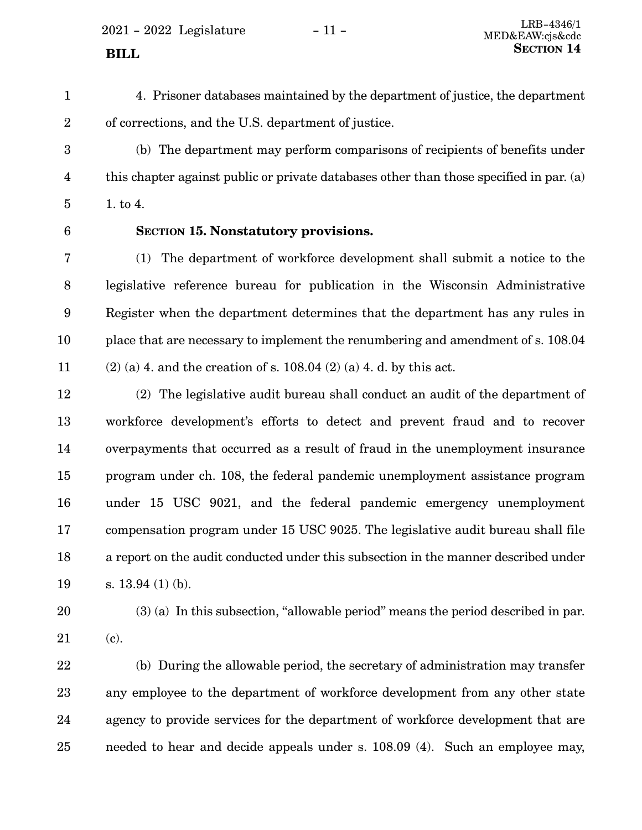<span id="page-10-0"></span> $2021 - 2022$  Legislature  $-11 -$  LRB-4346/1

4. Prisoner databases maintained by the department of justice, the department of corrections, and the U.S. department of justice. 1 2

(b) The department may perform comparisons of recipients of benefits under this chapter against public or private databases other than those specified in par. (a) 1. to 4. 3 4 5

6

# **SECTION 15.**0**Nonstatutory provisions.**

(1) The department of workforce development shall submit a notice to the legislative reference bureau for publication in the Wisconsin Administrative Register when the department determines that the department has any rules in place that are necessary to implement the renumbering and amendment of s. 108.04  $(2)$  (a) 4. and the creation of s. 108.04 (2) (a) 4. d. by this act. 7 8 9 10 11

(2) The legislative audit bureau shall conduct an audit of the department of workforce development's efforts to detect and prevent fraud and to recover overpayments that occurred as a result of fraud in the unemployment insurance program under ch. 108, the federal pandemic unemployment assistance program under 15 USC 9021, and the federal pandemic emergency unemployment compensation program under 15 USC 9025. The legislative audit bureau shall file a report on the audit conducted under this subsection in the manner described under s. 13.94 (1) (b). 12 13 14 15 16 17 18 19

20

([c](#page-11-0)). 21

(3) (a) In this subsection, "allowable period" means the period described in par.

(b) During the allowable period, the secretary of administration may transfer any employee to the department of workforce development from any other state agency to provide services for the department of workforce development that are needed to hear and decide appeals under s. 108.09 (4). Such an employee may, 22 23 24 25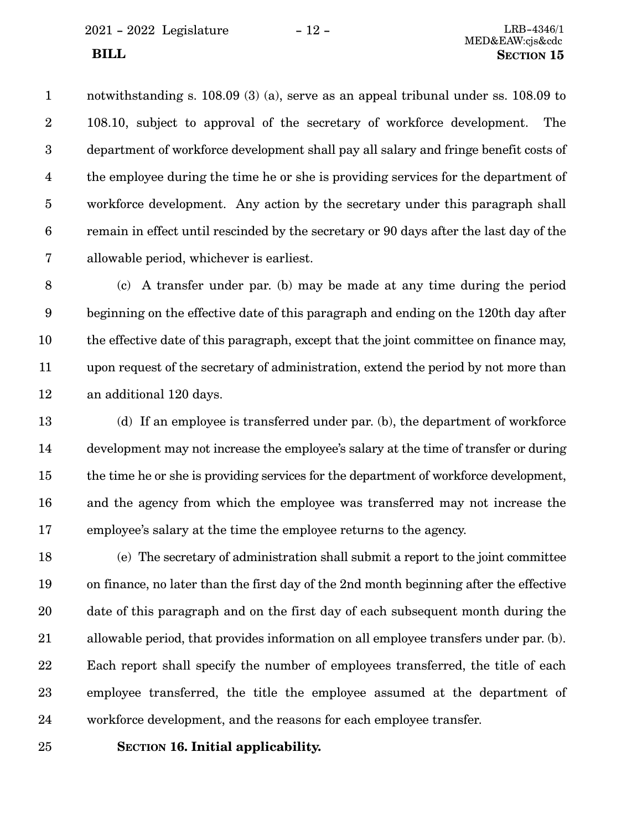<span id="page-11-0"></span>2021 - 2022 Legislature - 12 - LRB-4346/1

notwithstanding s. 108.09 (3) (a), serve as an appeal tribunal under ss. 108.09 to 108.10, subject to approval of the secretary of workforce development. The department of workforce development shall pay all salary and fringe benefit costs of the employee during the time he or she is providing services for the department of workforce development. Any action by the secretary under this paragraph shall remain in effect until rescinded by the secretary or 90 days after the last day of the allowable period, whichever is earliest. 1 2 3 4 5 6 7

(c) A transfer under par. [\(b](#page-10-0)) may be made at any time during the period beginning on the effective date of this paragraph and ending on the 120th day after the effective date of this paragraph, except that the joint committee on finance may, upon request of the secretary of administration, extend the period by not more than an additional 120 days. 8 9 10 11 12

(d) If an employee is transferred under par. [\(b\)](#page-10-0), the department of workforce development may not increase the employee's salary at the time of transfer or during the time he or she is providing services for the department of workforce development, and the agency from which the employee was transferred may not increase the employee's salary at the time the employee returns to the agency. 13 14 15 16 17

(e) The secretary of administration shall submit a report to the joint committee on finance, no later than the first day of the 2nd month beginning after the effective date of this paragraph and on the first day of each subsequent month during the allowable period, that provides information on all employee transfers under par. [\(b\)](#page-10-0). Each report shall specify the number of employees transferred, the title of each employee transferred, the title the employee assumed at the department of workforce development, and the reasons for each employee transfer. 18 19 20 21 22 23 24

25

**SECTION** 16. Initial applicability.